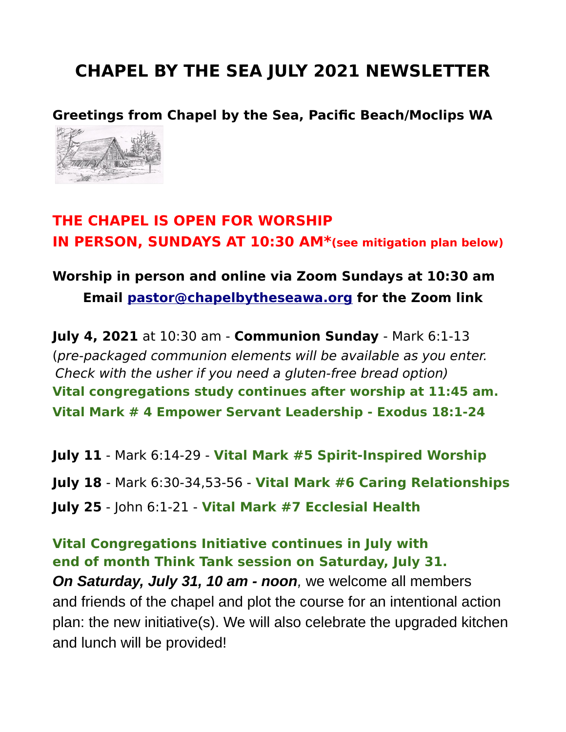# **CHAPEL BY THE SEA JULY 2021 NEWSLETTER**

**Greetings from Chapel by the Sea, Pacific Beach/Moclips WA**



### **THE CHAPEL IS OPEN FOR WORSHIP IN PERSON, SUNDAYS AT 10:30 AM\*(see mitigation plan below)**

### **Worship in person and online via Zoom Sundays at 10:30 am Email [pastor@chapelbytheseawa.org](mailto:pastor@chapelbytheseawa.org) for the Zoom link**

**July 4, 2021** at 10:30 am - **Communion Sunday** - Mark 6:1-13 (pre-packaged communion elements will be available as you enter. Check with the usher if you need a gluten-free bread option) **Vital congregations study continues after worship at 11:45 am. Vital Mark # 4 Empower Servant Leadership - Exodus 18:1-24**

**July 11** - Mark 6:14-29 - **Vital Mark #5 Spirit-Inspired Worship July 18** - Mark 6:30-34,53-56 - **Vital Mark #6 Caring Relationships July 25** - John 6:1-21 - **Vital Mark #7 Ecclesial Health**

**Vital Congregations Initiative continues in July with end of month Think Tank session on Saturday, July 31.** *On Saturday, July 31, 10 am - noon,* we welcome all members and friends of the chapel and plot the course for an intentional action plan: the new initiative(s). We will also celebrate the upgraded kitchen and lunch will be provided!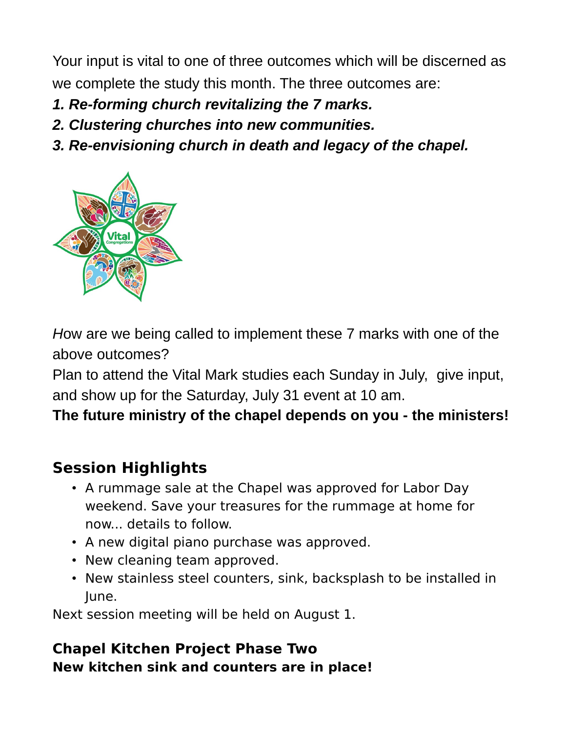Your input is vital to one of three outcomes which will be discerned as we complete the study this month. The three outcomes are:

- *1. Re-forming church revitalizing the 7 marks.*
- *2. Clustering churches into new communities.*
- *3. Re-envisioning church in death and legacy of the chapel.*



*H*ow are we being called to implement these 7 marks with one of the above outcomes?

Plan to attend the Vital Mark studies each Sunday in July, give input, and show up for the Saturday, July 31 event at 10 am.

**The future ministry of the chapel depends on you - the ministers!**

## **Session Highlights**

- A rummage sale at the Chapel was approved for Labor Day weekend. Save your treasures for the rummage at home for now... details to follow.
- A new digital piano purchase was approved.
- New cleaning team approved.
- New stainless steel counters, sink, backsplash to be installed in June.

Next session meeting will be held on August 1.

### **Chapel Kitchen Project Phase Two New kitchen sink and counters are in place!**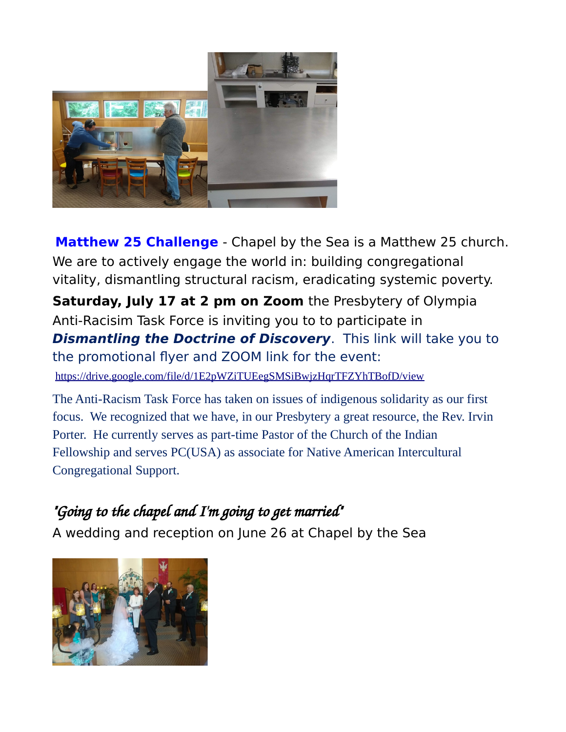

**Matthew 25 Challenge** - Chapel by the Sea is a Matthew 25 church. We are to actively engage the world in: building congregational vitality, dismantling structural racism, eradicating systemic poverty. **Saturday, July 17 at 2 pm on Zoom** the Presbytery of Olympia Anti-Racisim Task Force is inviting you to to participate in **Dismantling the Doctrine of Discovery**. This link will take you to the promotional flyer and ZOOM link for the event: <https://drive.google.com/file/d/1E2pWZiTUEegSMSiBwjzHqrTFZYhTBofD/view>

The Anti-Racism Task Force has taken on issues of indigenous solidarity as our first focus. We recognized that we have, in our Presbytery a great resource, the Rev. Irvin Porter. He currently serves as part-time Pastor of the Church of the Indian Fellowship and serves PC(USA) as associate for Native American Intercultural Congregational Support.

## *"Going to the chapel and I'm going to get married"*

A wedding and reception on June 26 at Chapel by the Sea

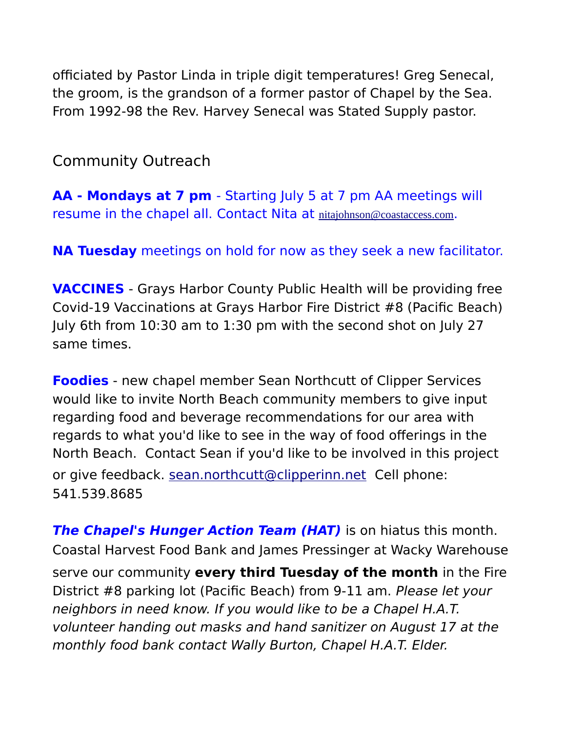officiated by Pastor Linda in triple digit temperatures! Greg Senecal, the groom, is the grandson of a former pastor of Chapel by the Sea. From 1992-98 the Rev. Harvey Senecal was Stated Supply pastor.

Community Outreach

**AA - Mondays at 7 pm** - Starting July 5 at 7 pm AA meetings will resume in the chapel all. Contact Nita at [nitajohnson@coastaccess.com](mailto:nitajohnson@coastaccess.com).

**NA Tuesday** meetings on hold for now as they seek a new facilitator.

**VACCINES** - Grays Harbor County Public Health will be providing free Covid-19 Vaccinations at Grays Harbor Fire District #8 (Pacific Beach) July 6th from 10:30 am to 1:30 pm with the second shot on July 27 same times.

**Foodies** - new chapel member Sean Northcutt of Clipper Services would like to invite North Beach community members to give input regarding food and beverage recommendations for our area with regards to what you'd like to see in the way of food offerings in the North Beach. Contact Sean if you'd like to be involved in this project or give feedback. [sean.northcutt@clipperinn.net](mailto:sean.northcutt@clipperinn.net) Cell phone: 541.539.8685

**The Chapel's Hunger Action Team (HAT)** is on hiatus this month. Coastal Harvest Food Bank and James Pressinger at Wacky Warehouse serve our community **every third Tuesday of the month** in the Fire District #8 parking lot (Pacific Beach) from 9-11 am. Please let your neighbors in need know. If you would like to be a Chapel H.A.T. volunteer handing out masks and hand sanitizer on August 17 at the monthly food bank contact Wally Burton, Chapel H.A.T. Elder.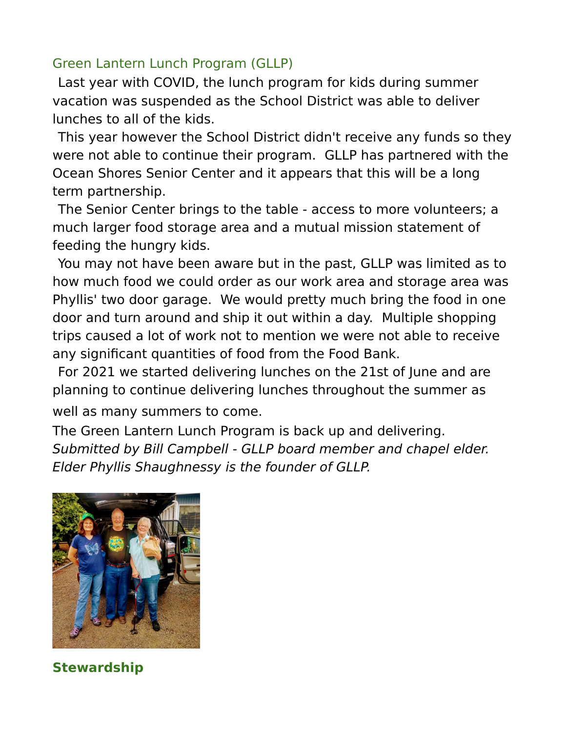#### Green Lantern Lunch Program (GLLP)

Last year with COVID, the lunch program for kids during summer vacation was suspended as the School District was able to deliver lunches to all of the kids.

This year however the School District didn't receive any funds so they were not able to continue their program. GLLP has partnered with the Ocean Shores Senior Center and it appears that this will be a long term partnership.

The Senior Center brings to the table - access to more volunteers; a much larger food storage area and a mutual mission statement of feeding the hungry kids.

You may not have been aware but in the past, GLLP was limited as to how much food we could order as our work area and storage area was Phyllis' two door garage. We would pretty much bring the food in one door and turn around and ship it out within a day. Multiple shopping trips caused a lot of work not to mention we were not able to receive any significant quantities of food from the Food Bank.

For 2021 we started delivering lunches on the 21st of June and are planning to continue delivering lunches throughout the summer as well as many summers to come.

The Green Lantern Lunch Program is back up and delivering. Submitted by Bill Campbell - GLLP board member and chapel elder. Elder Phyllis Shaughnessy is the founder of GLLP.



**Stewardship**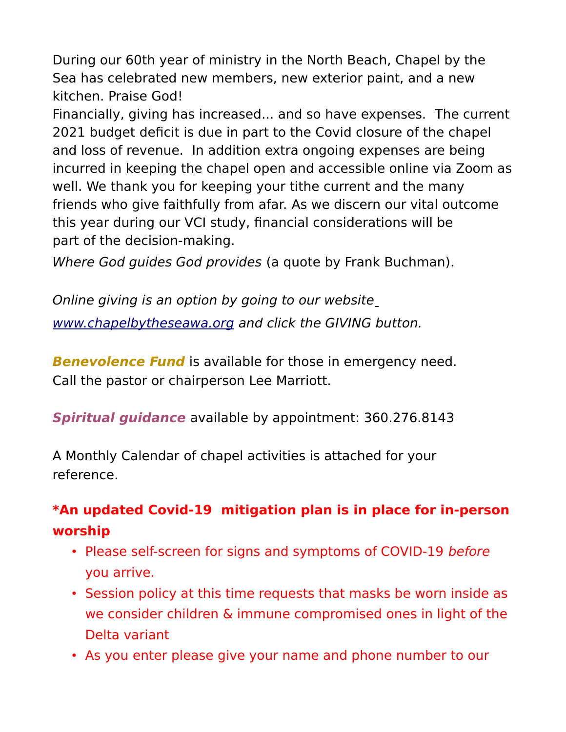During our 60th year of ministry in the North Beach, Chapel by the Sea has celebrated new members, new exterior paint, and a new kitchen. Praise God!

Financially, giving has increased... and so have expenses. The current 2021 budget deficit is due in part to the Covid closure of the chapel and loss of revenue. In addition extra ongoing expenses are being incurred in keeping the chapel open and accessible online via Zoom as well. We thank you for keeping your tithe current and the many friends who give faithfully from afar. As we discern our vital outcome this year during our VCI study, financial considerations will be part of the decision-making.

Where God guides God provides (a quote by Frank Buchman).

Online giving is an option by going to our website [www.chapelbytheseawa.org](http://www.chapelbytheseawa.org/) and click the GIVING button.

**Benevolence Fund** is available for those in emergency need. Call the pastor or chairperson Lee Marriott.

**Spiritual guidance** available by appointment: 360.276.8143

A Monthly Calendar of chapel activities is attached for your reference.

### **\*An updated Covid-19 mitigation plan is in place for in-person worship**

- Please self-screen for signs and symptoms of COVID-19 before you arrive.
- Session policy at this time requests that masks be worn inside as we consider children & immune compromised ones in light of the Delta variant
- As you enter please give your name and phone number to our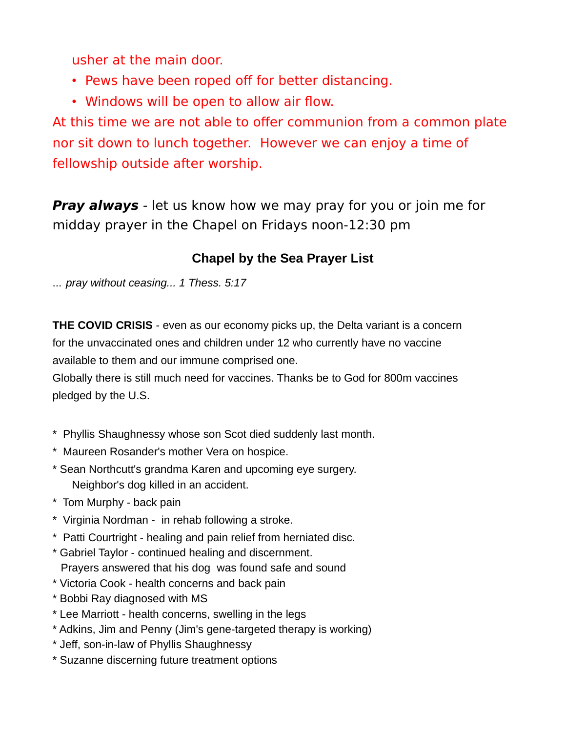usher at the main door.

- Pews have been roped off for better distancing.
- Windows will be open to allow air flow.

At this time we are not able to offer communion from a common plate nor sit down to lunch together. However we can enjoy a time of fellowship outside after worship.

**Pray always** - let us know how we may pray for you or join me for midday prayer in the Chapel on Fridays noon-12:30 pm

#### **Chapel by the Sea Prayer List**

... *pray without ceasing... 1 Thess. 5:17*

**THE COVID CRISIS** - even as our economy picks up, the Delta variant is a concern for the unvaccinated ones and children under 12 who currently have no vaccine available to them and our immune comprised one.

Globally there is still much need for vaccines. Thanks be to God for 800m vaccines pledged by the U.S.

- \* Phyllis Shaughnessy whose son Scot died suddenly last month.
- \* Maureen Rosander's mother Vera on hospice.
- \* Sean Northcutt's grandma Karen and upcoming eye surgery. Neighbor's dog killed in an accident.
- \* Tom Murphy back pain
- \* Virginia Nordman in rehab following a stroke.
- \* Patti Courtright healing and pain relief from herniated disc.
- \* Gabriel Taylor continued healing and discernment. Prayers answered that his dog was found safe and sound
- \* Victoria Cook health concerns and back pain
- \* Bobbi Ray diagnosed with MS
- \* Lee Marriott health concerns, swelling in the legs
- \* Adkins, Jim and Penny (Jim's gene-targeted therapy is working)
- \* Jeff, son-in-law of Phyllis Shaughnessy
- \* Suzanne discerning future treatment options